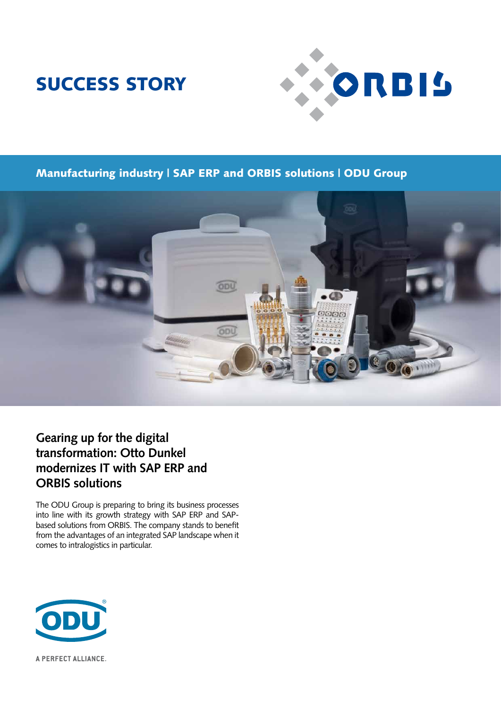# SUCCESS STORY



### Manufacturing industry | SAP ERP and ORBIS solutions | ODU Group



### **Gearing up for the digital transformation: Otto Dunkel modernizes IT with SAP ERP and ORBIS solutions**

The ODU Group is preparing to bring its business processes into line with its growth strategy with SAP ERP and SAPbased solutions from ORBIS. The company stands to benefit from the advantages of an integrated SAP landscape when it comes to intralogistics in particular.



A PERFECT ALLIANCE.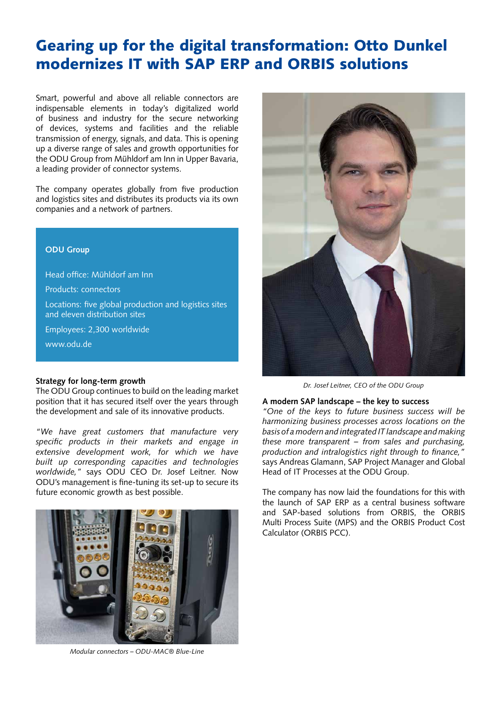## Gearing up for the digital transformation: Otto Dunkel modernizes IT with SAP ERP and ORBIS solutions

Smart, powerful and above all reliable connectors are indispensable elements in today's digitalized world of business and industry for the secure networking of devices, systems and facilities and the reliable transmission of energy, signals, and data. This is opening up a diverse range of sales and growth opportunities for the ODU Group from Mühldorf am Inn in Upper Bavaria, a leading provider of connector systems.

The company operates globally from five production and logistics sites and distributes its products via its own companies and a network of partners.

#### **ODU Group**

Head office: Mühldorf am Inn

Products: connectors

Locations: five global production and logistics sites and eleven distribution sites

Employees: 2,300 worldwide

www.odu.de

#### **Strategy for long-term growth**

The ODU Group continues to build on the leading market position that it has secured itself over the years through the development and sale of its innovative products.

*"We have great customers that manufacture very specific products in their markets and engage in extensive development work, for which we have built up corresponding capacities and technologies worldwide,"* says ODU CEO Dr. Josef Leitner. Now ODU's management is fine-tuning its set-up to secure its future economic growth as best possible.







*Dr. Josef Leitner, CEO of the ODU Group*

#### **A modern SAP landscape – the key to success**

*"One of the keys to future business success will be harmonizing business processes across locations on the basis of a modern and integrated IT landscape and making these more transparent – from sales and purchasing, production and intralogistics right through to finance,"*  says Andreas Glamann, SAP Project Manager and Global Head of IT Processes at the ODU Group.

The company has now laid the foundations for this with the launch of SAP ERP as a central business software and SAP-based solutions from ORBIS, the ORBIS Multi Process Suite (MPS) and the ORBIS Product Cost Calculator (ORBIS PCC).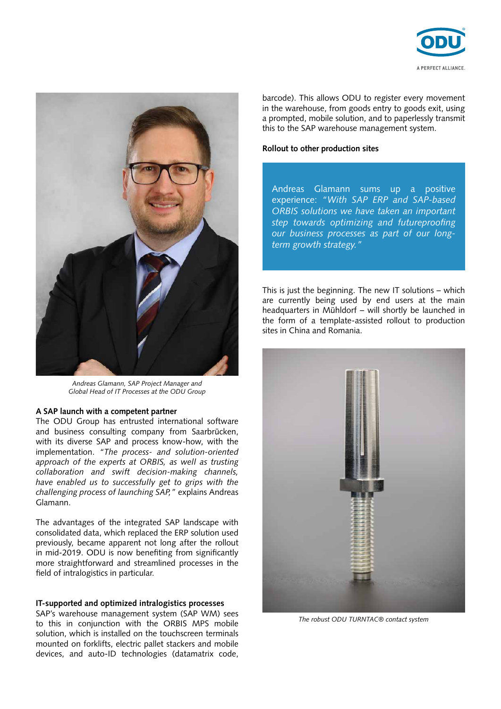



*Andreas Glamann, SAP Project Manager and Global Head of IT Processes at the ODU Group* 

#### **A SAP launch with a competent partner**

The ODU Group has entrusted international software and business consulting company from Saarbrücken, with its diverse SAP and process know-how, with the implementation. *"The process- and solution-oriented approach of the experts at ORBIS, as well as trusting collaboration and swift decision-making channels, have enabled us to successfully get to grips with the challenging process of launching SAP,"* explains Andreas Glamann.

The advantages of the integrated SAP landscape with consolidated data, which replaced the ERP solution used previously, became apparent not long after the rollout in mid-2019. ODU is now benefiting from significantly more straightforward and streamlined processes in the field of intralogistics in particular.

#### **IT-supported and optimized intralogistics processes**

SAP's warehouse management system (SAP WM) sees to this in conjunction with the ORBIS MPS mobile solution, which is installed on the touchscreen terminals mounted on forklifts, electric pallet stackers and mobile devices, and auto-ID technologies (datamatrix code, barcode). This allows ODU to register every movement in the warehouse, from goods entry to goods exit, using a prompted, mobile solution, and to paperlessly transmit this to the SAP warehouse management system.

#### **Rollout to other production sites**

Andreas Glamann sums up a positive experience: *"With SAP ERP and SAP-based ORBIS solutions we have taken an important step towards optimizing and futureproofing our business processes as part of our longterm growth strategy."*

This is just the beginning. The new IT solutions – which are currently being used by end users at the main headquarters in Mühldorf – will shortly be launched in the form of a template-assisted rollout to production sites in China and Romania.



*The robust ODU TURNTAC® contact system*